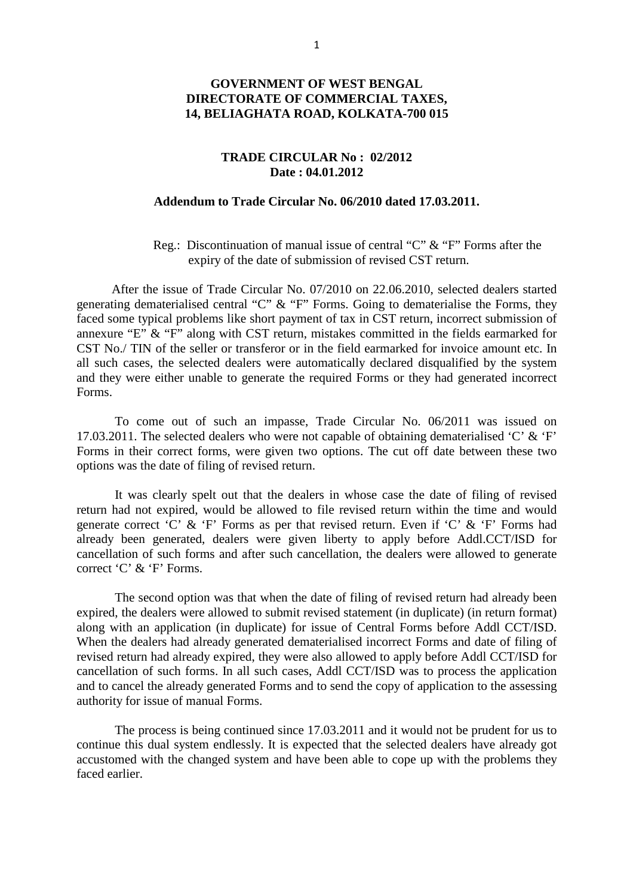## **GOVERNMENT OF WEST BENGAL DIRECTORATE OF COMMERCIAL TAXES, 14, BELIAGHATA ROAD, KOLKATA-700 015**

### **TRADE CIRCULAR No : 02/2012 Date : 04.01.2012**

#### **Addendum to Trade Circular No. 06/2010 dated 17.03.2011.**

 Reg.: Discontinuation of manual issue of central "C" & "F" Forms after the expiry of the date of submission of revised CST return.

 After the issue of Trade Circular No. 07/2010 on 22.06.2010, selected dealers started generating dematerialised central "C" & "F" Forms. Going to dematerialise the Forms, they faced some typical problems like short payment of tax in CST return, incorrect submission of annexure "E" & "F" along with CST return, mistakes committed in the fields earmarked for CST No./ TIN of the seller or transferor or in the field earmarked for invoice amount etc. In all such cases, the selected dealers were automatically declared disqualified by the system and they were either unable to generate the required Forms or they had generated incorrect Forms.

 To come out of such an impasse, Trade Circular No. 06/2011 was issued on 17.03.2011. The selected dealers who were not capable of obtaining dematerialised 'C' & 'F' Forms in their correct forms, were given two options. The cut off date between these two options was the date of filing of revised return.

 It was clearly spelt out that the dealers in whose case the date of filing of revised return had not expired, would be allowed to file revised return within the time and would generate correct 'C' & 'F' Forms as per that revised return. Even if 'C' & 'F' Forms had already been generated, dealers were given liberty to apply before Addl.CCT/ISD for cancellation of such forms and after such cancellation, the dealers were allowed to generate correct 'C' & 'F' Forms.

 The second option was that when the date of filing of revised return had already been expired, the dealers were allowed to submit revised statement (in duplicate) (in return format) along with an application (in duplicate) for issue of Central Forms before Addl CCT/ISD. When the dealers had already generated dematerialised incorrect Forms and date of filing of revised return had already expired, they were also allowed to apply before Addl CCT/ISD for cancellation of such forms. In all such cases, Addl CCT/ISD was to process the application and to cancel the already generated Forms and to send the copy of application to the assessing authority for issue of manual Forms.

 The process is being continued since 17.03.2011 and it would not be prudent for us to continue this dual system endlessly. It is expected that the selected dealers have already got accustomed with the changed system and have been able to cope up with the problems they faced earlier.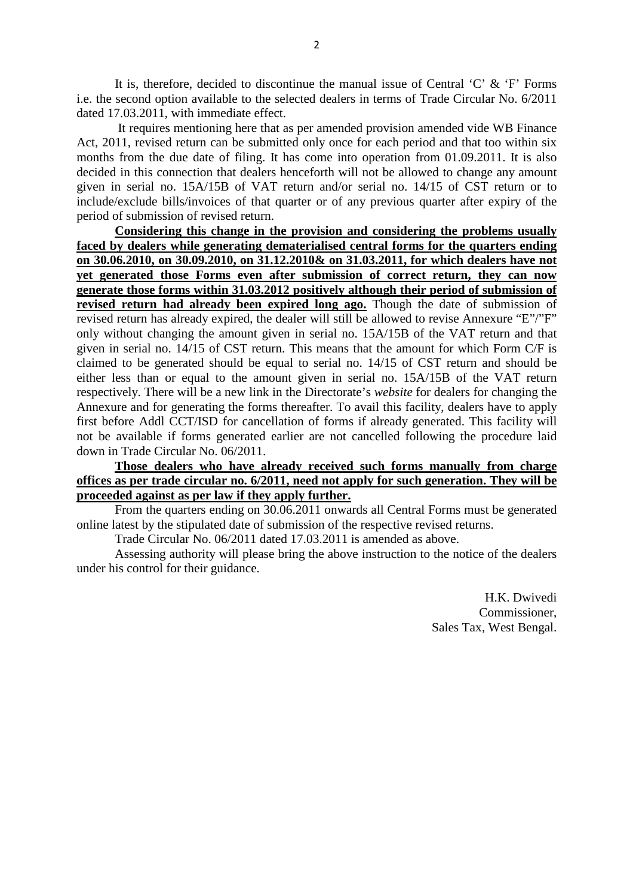It is, therefore, decided to discontinue the manual issue of Central  $\overline{C}$  &  $\overline{F}$  Forms i.e. the second option available to the selected dealers in terms of Trade Circular No. 6/2011 dated 17.03.2011, with immediate effect.

 It requires mentioning here that as per amended provision amended vide WB Finance Act, 2011, revised return can be submitted only once for each period and that too within six months from the due date of filing. It has come into operation from 01.09.2011. It is also decided in this connection that dealers henceforth will not be allowed to change any amount given in serial no. 15A/15B of VAT return and/or serial no. 14/15 of CST return or to include/exclude bills/invoices of that quarter or of any previous quarter after expiry of the period of submission of revised return.

 **Considering this change in the provision and considering the problems usually faced by dealers while generating dematerialised central forms for the quarters ending on 30.06.2010, on 30.09.2010, on 31.12.2010& on 31.03.2011, for which dealers have not yet generated those Forms even after submission of correct return, they can now generate those forms within 31.03.2012 positively although their period of submission of revised return had already been expired long ago.** Though the date of submission of revised return has already expired, the dealer will still be allowed to revise Annexure "E"/"F" only without changing the amount given in serial no. 15A/15B of the VAT return and that given in serial no. 14/15 of CST return. This means that the amount for which Form C/F is claimed to be generated should be equal to serial no. 14/15 of CST return and should be either less than or equal to the amount given in serial no. 15A/15B of the VAT return respectively. There will be a new link in the Directorate's *website* for dealers for changing the Annexure and for generating the forms thereafter. To avail this facility, dealers have to apply first before Addl CCT/ISD for cancellation of forms if already generated. This facility will not be available if forms generated earlier are not cancelled following the procedure laid down in Trade Circular No. 06/2011.

# **Those dealers who have already received such forms manually from charge offices as per trade circular no. 6/2011, need not apply for such generation. They will be proceeded against as per law if they apply further.**

 From the quarters ending on 30.06.2011 onwards all Central Forms must be generated online latest by the stipulated date of submission of the respective revised returns.

Trade Circular No. 06/2011 dated 17.03.2011 is amended as above.

 Assessing authority will please bring the above instruction to the notice of the dealers under his control for their guidance.

> H.K. Dwivedi Commissioner, Sales Tax, West Bengal.